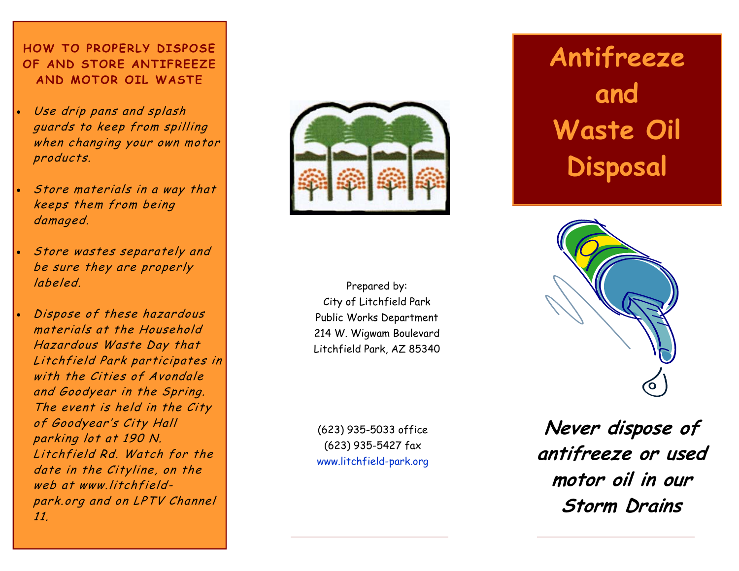#### **HOW TO PROPERLY DISPOSE OF AND STORE ANTIFREEZE AND MOTOR OIL WASTE**

- Use drip pans and splash guards to keep from spilling when changing your own motor products.
- Store materials in a way that keeps them from being damaged.
- Store wastes separately and be sure they are properly labeled.
- Dispose of these hazardous materials at the Household Hazardous Waste Day that Litchfield Park participates in with the Cities of Avondale and Goodyear in the Spring. The event is held in the City of Goodyear's City Hall parking lot at 190 N. Litchfield Rd. Watch for the date in the Cityline, on the web at www.litchfieldpark.org and on LPTV Channel 11.



Prepared by: City of Litchfield Park Public Works Department 214 W. Wigwam Boulevard Litchfield Park, AZ 85340

(623) 935-5033 office (623) 935-5427 fax www.litchfield-park.org

# **Antifreeze and Waste Oil Disposal**



**Never dispose of antifreeze or used motor oil in our Storm Drains**